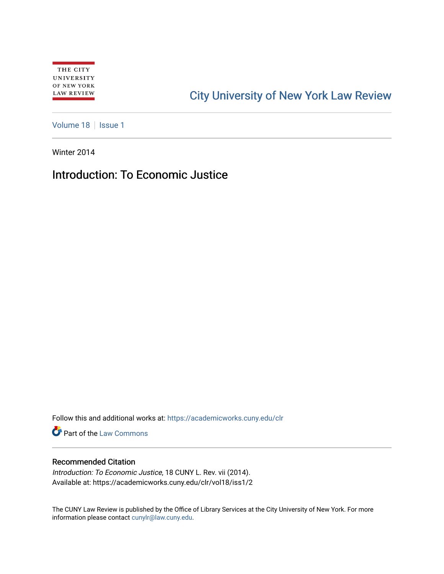## [City University of New York Law Review](https://academicworks.cuny.edu/clr)

[Volume 18](https://academicworks.cuny.edu/clr/vol18) | [Issue 1](https://academicworks.cuny.edu/clr/vol18/iss1)

Winter 2014

## Introduction: To Economic Justice

Follow this and additional works at: [https://academicworks.cuny.edu/clr](https://academicworks.cuny.edu/clr?utm_source=academicworks.cuny.edu%2Fclr%2Fvol18%2Fiss1%2F2&utm_medium=PDF&utm_campaign=PDFCoverPages) 

**Part of the [Law Commons](http://network.bepress.com/hgg/discipline/578?utm_source=academicworks.cuny.edu%2Fclr%2Fvol18%2Fiss1%2F2&utm_medium=PDF&utm_campaign=PDFCoverPages)** 

## Recommended Citation

Introduction: To Economic Justice, 18 CUNY L. Rev. vii (2014). Available at: https://academicworks.cuny.edu/clr/vol18/iss1/2

The CUNY Law Review is published by the Office of Library Services at the City University of New York. For more information please contact [cunylr@law.cuny.edu](mailto:cunylr@law.cuny.edu).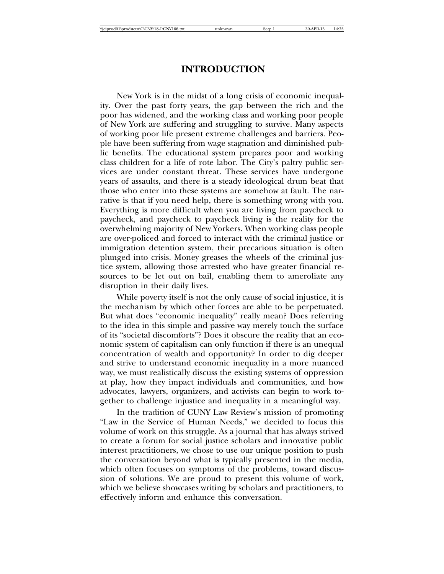New York is in the midst of a long crisis of economic inequality. Over the past forty years, the gap between the rich and the poor has widened, and the working class and working poor people of New York are suffering and struggling to survive. Many aspects of working poor life present extreme challenges and barriers. People have been suffering from wage stagnation and diminished public benefits. The educational system prepares poor and working class children for a life of rote labor. The City's paltry public services are under constant threat. These services have undergone years of assaults, and there is a steady ideological drum beat that those who enter into these systems are somehow at fault. The narrative is that if you need help, there is something wrong with you. Everything is more difficult when you are living from paycheck to paycheck, and paycheck to paycheck living is the reality for the overwhelming majority of New Yorkers. When working class people are over-policed and forced to interact with the criminal justice or immigration detention system, their precarious situation is often plunged into crisis. Money greases the wheels of the criminal justice system, allowing those arrested who have greater financial resources to be let out on bail, enabling them to ameroliate any disruption in their daily lives.

While poverty itself is not the only cause of social injustice, it is the mechanism by which other forces are able to be perpetuated. But what does "economic inequality" really mean? Does referring to the idea in this simple and passive way merely touch the surface of its "societal discomforts"? Does it obscure the reality that an economic system of capitalism can only function if there is an unequal concentration of wealth and opportunity? In order to dig deeper and strive to understand economic inequality in a more nuanced way, we must realistically discuss the existing systems of oppression at play, how they impact individuals and communities, and how advocates, lawyers, organizers, and activists can begin to work together to challenge injustice and inequality in a meaningful way.

In the tradition of CUNY Law Review's mission of promoting "Law in the Service of Human Needs," we decided to focus this volume of work on this struggle. As a journal that has always strived to create a forum for social justice scholars and innovative public interest practitioners, we chose to use our unique position to push the conversation beyond what is typically presented in the media, which often focuses on symptoms of the problems, toward discussion of solutions. We are proud to present this volume of work, which we believe showcases writing by scholars and practitioners, to effectively inform and enhance this conversation.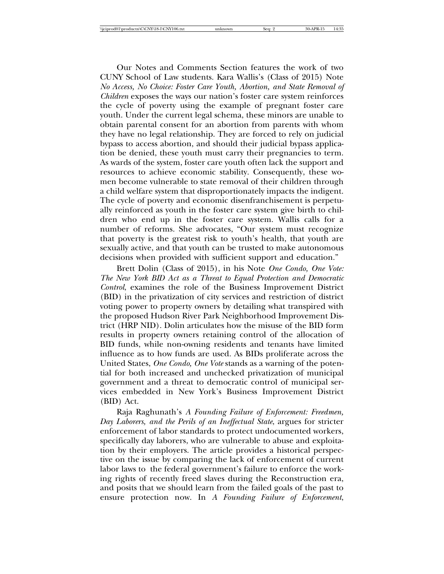Our Notes and Comments Section features the work of two CUNY School of Law students. Kara Wallis's (Class of 2015) Note *No Access, No Choice: Foster Care Youth, Abortion, and State Removal of Children* exposes the ways our nation's foster care system reinforces the cycle of poverty using the example of pregnant foster care youth. Under the current legal schema, these minors are unable to obtain parental consent for an abortion from parents with whom they have no legal relationship. They are forced to rely on judicial bypass to access abortion, and should their judicial bypass application be denied, these youth must carry their pregnancies to term. As wards of the system, foster care youth often lack the support and resources to achieve economic stability. Consequently, these women become vulnerable to state removal of their children through a child welfare system that disproportionately impacts the indigent. The cycle of poverty and economic disenfranchisement is perpetually reinforced as youth in the foster care system give birth to children who end up in the foster care system. Wallis calls for a number of reforms. She advocates, "Our system must recognize that poverty is the greatest risk to youth's health, that youth are sexually active, and that youth can be trusted to make autonomous decisions when provided with sufficient support and education."

Brett Dolin (Class of 2015), in his Note *One Condo, One Vote: The New York BID Act as a Threat to Equal Protection and Democratic Control*, examines the role of the Business Improvement District (BID) in the privatization of city services and restriction of district voting power to property owners by detailing what transpired with the proposed Hudson River Park Neighborhood Improvement District (HRP NID). Dolin articulates how the misuse of the BID form results in property owners retaining control of the allocation of BID funds, while non-owning residents and tenants have limited influence as to how funds are used. As BIDs proliferate across the United States, *One Condo, One Vote* stands as a warning of the potential for both increased and unchecked privatization of municipal government and a threat to democratic control of municipal services embedded in New York's Business Improvement District (BID) Act.

Raja Raghunath's *A Founding Failure of Enforcement: Freedmen, Day Laborers, and the Perils of an Ineffectual State*, argues for stricter enforcement of labor standards to protect undocumented workers, specifically day laborers, who are vulnerable to abuse and exploitation by their employers. The article provides a historical perspective on the issue by comparing the lack of enforcement of current labor laws to the federal government's failure to enforce the working rights of recently freed slaves during the Reconstruction era, and posits that we should learn from the failed goals of the past to ensure protection now. In *A Founding Failure of Enforcement*,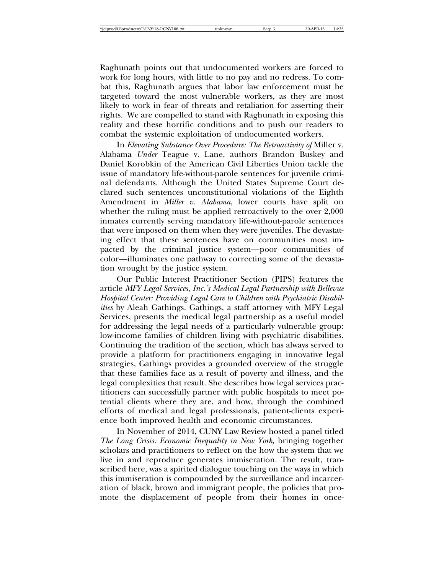Raghunath points out that undocumented workers are forced to work for long hours, with little to no pay and no redress. To combat this, Raghunath argues that labor law enforcement must be targeted toward the most vulnerable workers, as they are most likely to work in fear of threats and retaliation for asserting their rights. We are compelled to stand with Raghunath in exposing this reality and these horrific conditions and to push our readers to combat the systemic exploitation of undocumented workers.

In *Elevating Substance Over Procedure: The Retroactivity of* Miller v. Alabama *Under* Teague v. Lane, authors Brandon Buskey and Daniel Korobkin of the American Civil Liberties Union tackle the issue of mandatory life-without-parole sentences for juvenile criminal defendants. Although the United States Supreme Court declared such sentences unconstitutional violations of the Eighth Amendment in *Miller v. Alabama*, lower courts have split on whether the ruling must be applied retroactively to the over 2,000 inmates currently serving mandatory life-without-parole sentences that were imposed on them when they were juveniles. The devastating effect that these sentences have on communities most impacted by the criminal justice system—poor communities of color—illuminates one pathway to correcting some of the devastation wrought by the justice system.

Our Public Interest Practitioner Section (PIPS) features the article *MFY Legal Services, Inc.'s Medical Legal Partnership with Bellevue Hospital Center: Providing Legal Care to Children with Psychiatric Disabilities* by Aleah Gathings. Gathings, a staff attorney with MFY Legal Services, presents the medical legal partnership as a useful model for addressing the legal needs of a particularly vulnerable group: low-income families of children living with psychiatric disabilities. Continuing the tradition of the section, which has always served to provide a platform for practitioners engaging in innovative legal strategies, Gathings provides a grounded overview of the struggle that these families face as a result of poverty and illness, and the legal complexities that result. She describes how legal services practitioners can successfully partner with public hospitals to meet potential clients where they are, and how, through the combined efforts of medical and legal professionals, patient-clients experience both improved health and economic circumstances.

In November of 2014, CUNY Law Review hosted a panel titled *The Long Crisis: Economic Inequality in New York,* bringing together scholars and practitioners to reflect on the how the system that we live in and reproduce generates immiseration. The result, transcribed here, was a spirited dialogue touching on the ways in which this immiseration is compounded by the surveillance and incarceration of black, brown and immigrant people, the policies that promote the displacement of people from their homes in once